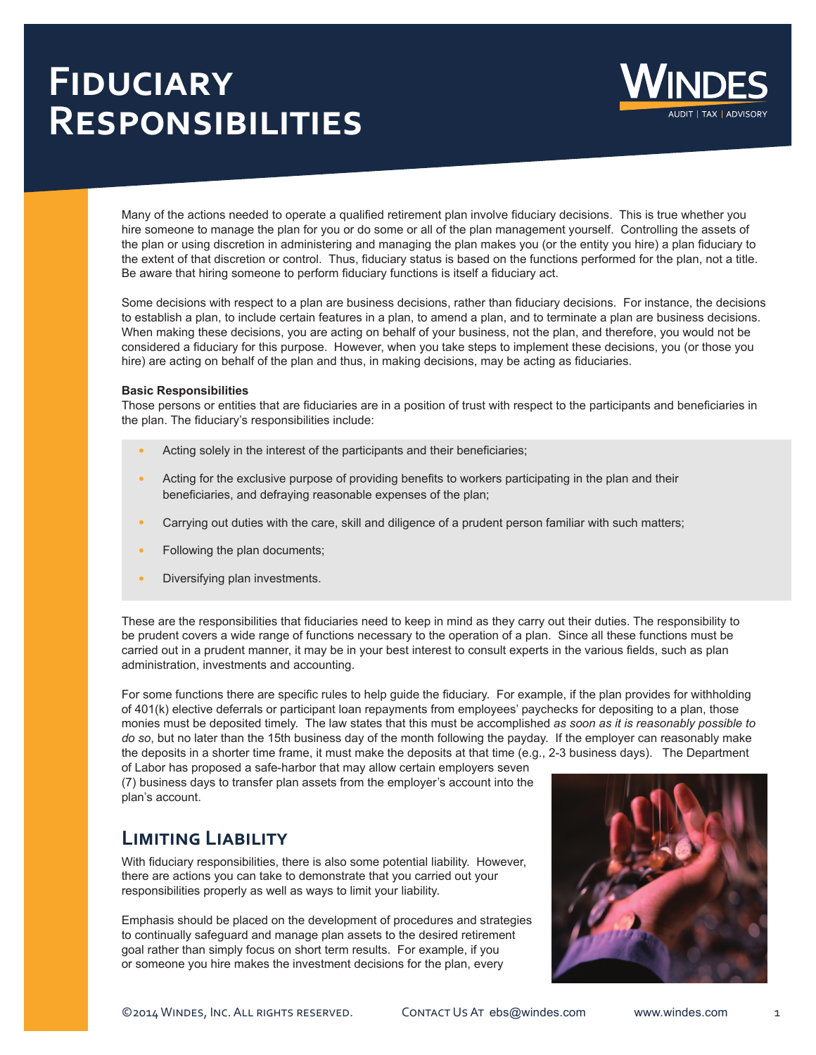# **Fiduciary Responsibilities**



Many of the actions needed to operate a qualified retirement plan involve fiduciary decisions. This is true whether you hire someone to manage the plan for you or do some or all of the plan management yourself. Controlling the assets of the plan or using discretion in administering and managing the plan makes you (or the entity you hire) a plan fiduciary to the extent of that discretion or control. Thus, fiduciary status is based on the functions performed for the plan, not a title. Be aware that hiring someone to perform fiduciary functions is itself a fiduciary act.

Some decisions with respect to a plan are business decisions, rather than fiduciary decisions. For instance, the decisions to establish a plan, to include certain features in a plan, to amend a plan, and to terminate a plan are business decisions. When making these decisions, you are acting on behalf of your business, not the plan, and therefore, you would not be considered a fiduciary for this purpose. However, when you take steps to implement these decisions, you (or those you hire) are acting on behalf of the plan and thus, in making decisions, may be acting as fiduciaries.

#### **Basic Responsibilities**

Those persons or entities that are fiduciaries are in a position of trust with respect to the participants and beneficiaries in the plan. The fiduciary's responsibilities include:

- **•** Acting solely in the interest of the participants and their beneficiaries;
- **•** Acting for the exclusive purpose of providing benefits to workers participating in the plan and their beneficiaries, and defraying reasonable expenses of the plan;
- **•** Carrying out duties with the care, skill and diligence of a prudent person familiar with such matters;
- **•** Following the plan documents;
- **•** Diversifying plan investments.

These are the responsibilities that fiduciaries need to keep in mind as they carry out their duties. The responsibility to be prudent covers a wide range of functions necessary to the operation of a plan. Since all these functions must be carried out in a prudent manner, it may be in your best interest to consult experts in the various fields, such as plan administration, investments and accounting.

For some functions there are specific rules to help guide the fiduciary. For example, if the plan provides for withholding of 401(k) elective deferrals or participant loan repayments from employees' paychecks for depositing to a plan, those monies must be deposited timely. The law states that this must be accomplished *as soon as it is reasonably possible to do so*, but no later than the 15th business day of the month following the payday. If the employer can reasonably make the deposits in a shorter time frame, it must make the deposits at that time (e.g., 2-3 business days). The Department

of Labor has proposed a safe-harbor that may allow certain employers seven (7) business days to transfer plan assets from the employer's account into the plan's account.

### **Limiting Liability**

With fiduciary responsibilities, there is also some potential liability. However, there are actions you can take to demonstrate that you carried out your responsibilities properly as well as ways to limit your liability.

Emphasis should be placed on the development of procedures and strategies to continually safeguard and manage plan assets to the desired retirement goal rather than simply focus on short term results. For example, if you or someone you hire makes the investment decisions for the plan, every